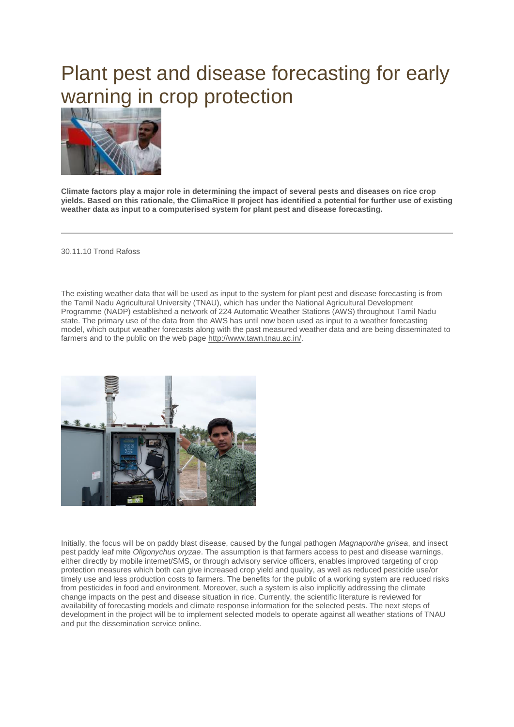## Plant pest and disease forecasting for early warning in crop protection



**Climate factors play a major role in determining the impact of several pests and diseases on rice crop yields. Based on this rationale, the ClimaRice II project has identified a potential for further use of existing weather data as input to a computerised system for plant pest and disease forecasting.**

30.11.10 Trond Rafoss

The existing weather data that will be used as input to the system for plant pest and disease forecasting is from the Tamil Nadu Agricultural University (TNAU), which has under the National Agricultural Development Programme (NADP) established a network of 224 Automatic Weather Stations (AWS) throughout Tamil Nadu state. The primary use of the data from the AWS has until now been used as input to a weather forecasting model, which output weather forecasts along with the past measured weather data and are being disseminated to farmers and to the public on the web page [http://www.tawn.tnau.ac.in/.](http://www.tawn.tnau.ac.in/)



Initially, the focus will be on paddy blast disease, caused by the fungal pathogen *Magnaporthe grisea*, and insect pest paddy leaf mite *Oligonychus oryzae*. The assumption is that farmers access to pest and disease warnings, either directly by mobile internet/SMS, or through advisory service officers, enables improved targeting of crop protection measures which both can give increased crop yield and quality, as well as reduced pesticide use/or timely use and less production costs to farmers. The benefits for the public of a working system are reduced risks from pesticides in food and environment. Moreover, such a system is also implicitly addressing the climate change impacts on the pest and disease situation in rice. Currently, the scientific literature is reviewed for availability of forecasting models and climate response information for the selected pests. The next steps of development in the project will be to implement selected models to operate against all weather stations of TNAU and put the dissemination service online.